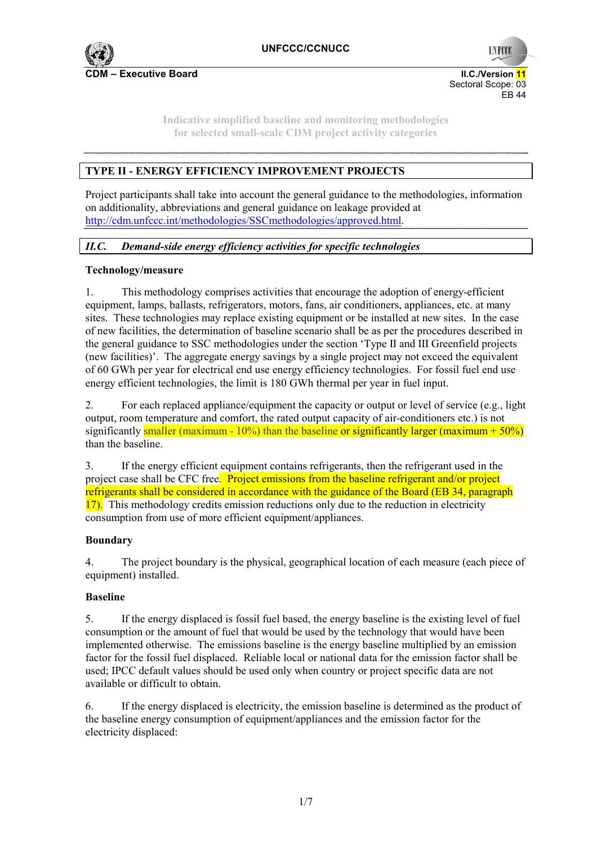

 Sectoral Scope: 03 EB 44

**UNFCC** 

**Indicative simplified baseline and monitoring methodologies for selected small-scale CDM project activity categories** 

# **TYPE II - ENERGY EFFICIENCY IMPROVEMENT PROJECTS**

Project participants shall take into account the general guidance to the methodologies, information on additionality, abbreviations and general guidance on leakage provided at http://cdm.unfccc.int/methodologies/SSCmethodologies/approved.html.

## *II.C. Demand-side energy efficiency activities for specific technologies*

## **Technology/measure**

1. This methodology comprises activities that encourage the adoption of energy-efficient equipment, lamps, ballasts, refrigerators, motors, fans, air conditioners, appliances, etc. at many sites. These technologies may replace existing equipment or be installed at new sites. In the case of new facilities, the determination of baseline scenario shall be as per the procedures described in the general guidance to SSC methodologies under the section 'Type II and III Greenfield projects (new facilities)'. The aggregate energy savings by a single project may not exceed the equivalent of 60 GWh per year for electrical end use energy efficiency technologies. For fossil fuel end use energy efficient technologies, the limit is 180 GWh thermal per year in fuel input.

2. For each replaced appliance/equipment the capacity or output or level of service (e.g., light output, room temperature and comfort, the rated output capacity of air-conditioners etc.) is not significantly smaller (maximum - 10%) than the baseline or significantly larger (maximum +  $50\%$ ) than the baseline.

3. If the energy efficient equipment contains refrigerants, then the refrigerant used in the project case shall be CFC free. Project emissions from the baseline refrigerant and/or project refrigerants shall be considered in accordance with the guidance of the Board (EB 34, paragraph 17). This methodology credits emission reductions only due to the reduction in electricity consumption from use of more efficient equipment/appliances.

## **Boundary**

4. The project boundary is the physical, geographical location of each measure (each piece of equipment) installed.

## **Baseline**

5. If the energy displaced is fossil fuel based, the energy baseline is the existing level of fuel consumption or the amount of fuel that would be used by the technology that would have been implemented otherwise. The emissions baseline is the energy baseline multiplied by an emission factor for the fossil fuel displaced. Reliable local or national data for the emission factor shall be used; IPCC default values should be used only when country or project specific data are not available or difficult to obtain.

6. If the energy displaced is electricity, the emission baseline is determined as the product of the baseline energy consumption of equipment/appliances and the emission factor for the electricity displaced: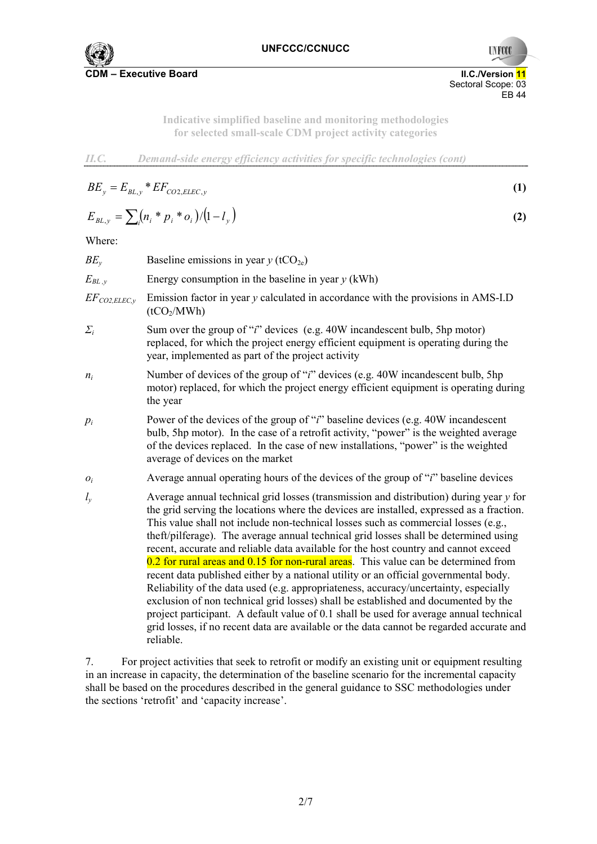

EB 44

**UNFCC** 

Sectoral Scope: 03

*II.C. Demand-side energy efficiency activities for specific technologies (cont)*

$$
BE_y = E_{BL,y} * EF_{CO2, ELEC,y}
$$
 (1)

$$
E_{BL,y} = \sum_{i} (n_i * p_i * o_i) / (1 - l_y)
$$
 (2)

Where:

| Baseline emissions in year $y$ (tCO <sub>2e</sub> )                                                                                                                                                                                                                                                                                                                                                                                                                                                                                                                                                                                                                                                                                                                                                                                                                                                                                                                                                                       |  |  |
|---------------------------------------------------------------------------------------------------------------------------------------------------------------------------------------------------------------------------------------------------------------------------------------------------------------------------------------------------------------------------------------------------------------------------------------------------------------------------------------------------------------------------------------------------------------------------------------------------------------------------------------------------------------------------------------------------------------------------------------------------------------------------------------------------------------------------------------------------------------------------------------------------------------------------------------------------------------------------------------------------------------------------|--|--|
| Energy consumption in the baseline in year $y$ (kWh)                                                                                                                                                                                                                                                                                                                                                                                                                                                                                                                                                                                                                                                                                                                                                                                                                                                                                                                                                                      |  |  |
| Emission factor in year $y$ calculated in accordance with the provisions in AMS-I.D<br>(tCO <sub>2</sub> /MWh)                                                                                                                                                                                                                                                                                                                                                                                                                                                                                                                                                                                                                                                                                                                                                                                                                                                                                                            |  |  |
| Sum over the group of " <i>i</i> " devices (e.g. 40W incandescent bulb, 5hp motor)<br>replaced, for which the project energy efficient equipment is operating during the<br>year, implemented as part of the project activity                                                                                                                                                                                                                                                                                                                                                                                                                                                                                                                                                                                                                                                                                                                                                                                             |  |  |
| Number of devices of the group of "i" devices (e.g. 40W incandescent bulb, 5hp<br>motor) replaced, for which the project energy efficient equipment is operating during<br>the year                                                                                                                                                                                                                                                                                                                                                                                                                                                                                                                                                                                                                                                                                                                                                                                                                                       |  |  |
| Power of the devices of the group of " <i>i</i> " baseline devices (e.g. 40W incandescent<br>bulb, 5hp motor). In the case of a retrofit activity, "power" is the weighted average<br>of the devices replaced. In the case of new installations, "power" is the weighted<br>average of devices on the market                                                                                                                                                                                                                                                                                                                                                                                                                                                                                                                                                                                                                                                                                                              |  |  |
| Average annual operating hours of the devices of the group of "i" baseline devices                                                                                                                                                                                                                                                                                                                                                                                                                                                                                                                                                                                                                                                                                                                                                                                                                                                                                                                                        |  |  |
| Average annual technical grid losses (transmission and distribution) during year $y$ for<br>the grid serving the locations where the devices are installed, expressed as a fraction.<br>This value shall not include non-technical losses such as commercial losses (e.g.,<br>theft/pilferage). The average annual technical grid losses shall be determined using<br>recent, accurate and reliable data available for the host country and cannot exceed<br>0.2 for rural areas and 0.15 for non-rural areas. This value can be determined from<br>recent data published either by a national utility or an official governmental body.<br>Reliability of the data used (e.g. appropriateness, accuracy/uncertainty, especially<br>exclusion of non technical grid losses) shall be established and documented by the<br>project participant. A default value of 0.1 shall be used for average annual technical<br>grid losses, if no recent data are available or the data cannot be regarded accurate and<br>reliable. |  |  |
|                                                                                                                                                                                                                                                                                                                                                                                                                                                                                                                                                                                                                                                                                                                                                                                                                                                                                                                                                                                                                           |  |  |

7. For project activities that seek to retrofit or modify an existing unit or equipment resulting in an increase in capacity, the determination of the baseline scenario for the incremental capacity shall be based on the procedures described in the general guidance to SSC methodologies under the sections 'retrofit' and 'capacity increase'.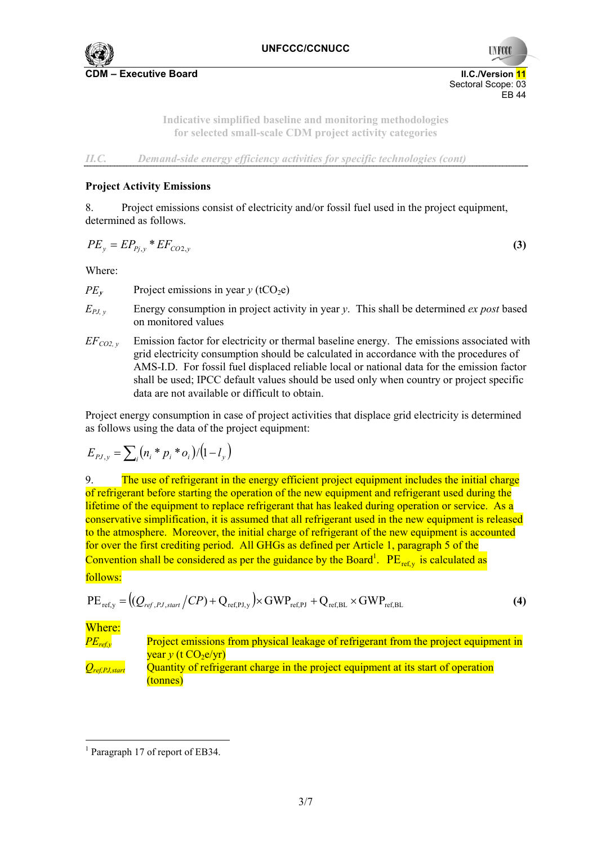

**UNFCC**  Sectoral Scope: 03 EB 44

> **Indicative simplified baseline and monitoring methodologies for selected small-scale CDM project activity categories**

*II.C. Demand-side energy efficiency activities for specific technologies (cont)*

## **Project Activity Emissions**

8. Project emissions consist of electricity and/or fossil fuel used in the project equipment, determined as follows.

$$
PE_y = EP_{Pj,y} * EF_{CO2,y} \tag{3}
$$

Where:

 $PE<sub>v</sub>$  Project emissions in year *y* (tCO<sub>2</sub>e)

- *EPJ, y* Energy consumption in project activity in year *y*. This shall be determined *ex post* based on monitored values
- $EF_{CO2, v}$  Emission factor for electricity or thermal baseline energy. The emissions associated with grid electricity consumption should be calculated in accordance with the procedures of AMS-I.D. For fossil fuel displaced reliable local or national data for the emission factor shall be used; IPCC default values should be used only when country or project specific data are not available or difficult to obtain.

Project energy consumption in case of project activities that displace grid electricity is determined as follows using the data of the project equipment:

$$
E_{pJ,y} = \sum_i (n_i * p_i * o_i) / (1 - l_y)
$$

9. The use of refrigerant in the energy efficient project equipment includes the initial charge of refrigerant before starting the operation of the new equipment and refrigerant used during the lifetime of the equipment to replace refrigerant that has leaked during operation or service. As a conservative simplification, it is assumed that all refrigerant used in the new equipment is released to the atmosphere. Moreover, the initial charge of refrigerant of the new equipment is accounted for over the first crediting period. All GHGs as defined per Article 1, paragraph 5 of the Convention shall be considered as per the guidance by the Board<sup>1</sup>.  $PE_{ref,y}$  is calculated as follows:

$$
PE_{ref,y} = ((Q_{ref,PJ,start}/CP) + Q_{ref,PJ,y}) \times GWP_{ref,pJ} + Q_{ref,BL} \times GWP_{ref,BL}
$$
\n(4)

Where:

*PE<sub>refy</sub>* Project emissions from physical leakage of refrigerant from the project equipment in  $\frac{\text{year } v \text{ (t CO}_2 \text{ e/yr)}}{v}$ *Q<sub>ref,PJ,start* Quantity of refrigerant charge in the project equipment at its start of operation</sub> (tonnes)

 $\overline{a}$ <sup>1</sup> Paragraph 17 of report of EB34.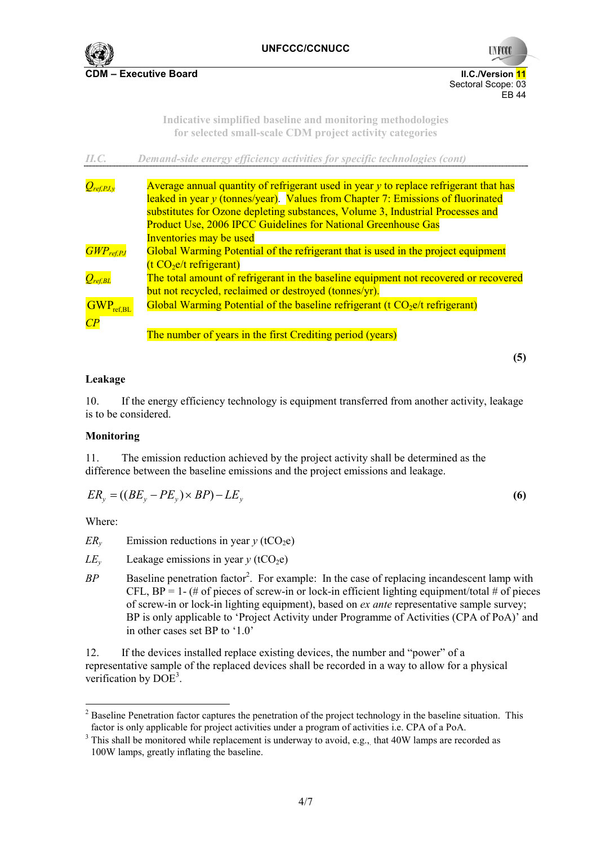



**Indicative simplified baseline and monitoring methodologies for selected small-scale CDM project activity categories** 

*II.C. Demand-side energy efficiency activities for specific technologies (cont)*

| $Q_{ref, PJ, v}$                             | Average annual quantity of refrigerant used in year $\nu$ to replace refrigerant that has |  |  |
|----------------------------------------------|-------------------------------------------------------------------------------------------|--|--|
|                                              | leaked in year y (tonnes/year). Values from Chapter 7: Emissions of fluorinated           |  |  |
|                                              | substitutes for Ozone depleting substances, Volume 3, Industrial Processes and            |  |  |
|                                              | <b>Product Use, 2006 IPCC Guidelines for National Greenhouse Gas</b>                      |  |  |
|                                              | Inventories may be used                                                                   |  |  |
| $GWP_{ref, PJ}$                              | Global Warming Potential of the refrigerant that is used in the project equipment         |  |  |
|                                              | $(t CO2e/t$ refrigerant)                                                                  |  |  |
| $Q_{ref,BL}$                                 | The total amount of refrigerant in the baseline equipment not recovered or recovered      |  |  |
|                                              | but not recycled, reclaimed or destroyed (tonnes/yr).                                     |  |  |
| $\overline{\mathrm{GWP}}_{\mathrm{ref, BL}}$ | Global Warming Potential of the baseline refrigerant ( $t \text{CO}_2$ e/t refrigerant)   |  |  |
| $\overline{CP}$                              |                                                                                           |  |  |
|                                              | The number of years in the first Crediting period (years)                                 |  |  |

**(5)** 

## **Leakage**

10. If the energy efficiency technology is equipment transferred from another activity, leakage is to be considered.

## **Monitoring**

11. The emission reduction achieved by the project activity shall be determined as the difference between the baseline emissions and the project emissions and leakage.

$$
ER_{y} = ((BE_{y} - PE_{y}) \times BP) - LE_{y}
$$
\n(6)

Where:

 $\overline{a}$ 

*ER<sub>v</sub>* Emission reductions in year  $y$  (tCO<sub>2</sub>e)

- $LE<sub>v</sub>$  Leakage emissions in year  $\gamma$  (tCO<sub>2</sub>e)
- BP Baseline penetration factor<sup>2</sup>. For example: In the case of replacing incandescent lamp with CFL,  $BP = 1 - (\# \text{ of pieces of screw-in or lock-in efficient lighting equipment/total } \# \text{ of pieces})$ of screw-in or lock-in lighting equipment), based on *ex ante* representative sample survey; BP is only applicable to 'Project Activity under Programme of Activities (CPA of PoA)' and in other cases set BP to '1.0'

12. If the devices installed replace existing devices, the number and "power" of a representative sample of the replaced devices shall be recorded in a way to allow for a physical verification by  $\widehat{DOE}^3$ .

 $2^2$  Baseline Penetration factor captures the penetration of the project technology in the baseline situation. This factor is only applicable for project activities under a program of activities i.e. CPA of a PoA.

 $3$  This shall be monitored while replacement is underway to avoid, e.g., that 40W lamps are recorded as 100W lamps, greatly inflating the baseline.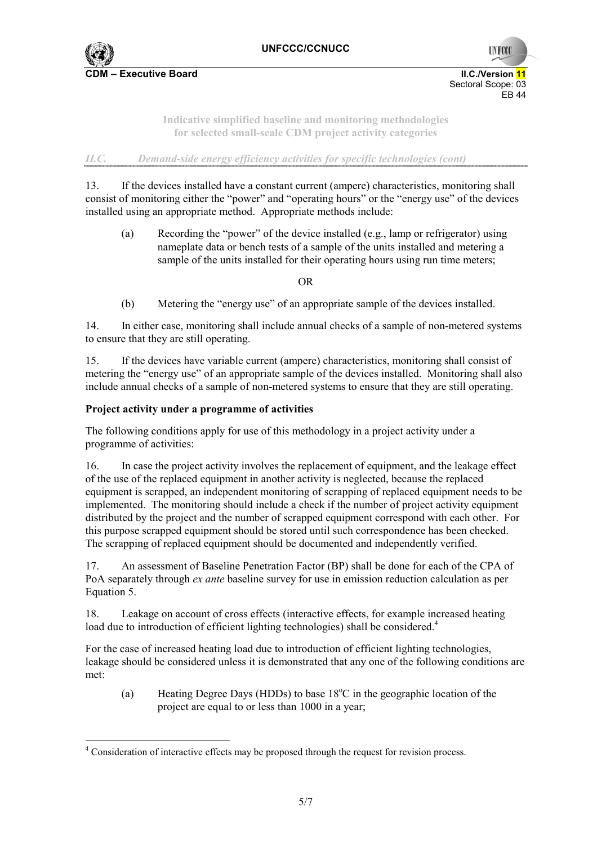

**UNFCC**  Sectoral Scope: 03 EB 44

> **Indicative simplified baseline and monitoring methodologies for selected small-scale CDM project activity categories**

*II.C. Demand-side energy efficiency activities for specific technologies (cont)*

13. If the devices installed have a constant current (ampere) characteristics, monitoring shall consist of monitoring either the "power" and "operating hours" or the "energy use" of the devices installed using an appropriate method. Appropriate methods include:

(a) Recording the "power" of the device installed (e.g., lamp or refrigerator) using nameplate data or bench tests of a sample of the units installed and metering a sample of the units installed for their operating hours using run time meters;

OR

(b) Metering the "energy use" of an appropriate sample of the devices installed.

14. In either case, monitoring shall include annual checks of a sample of non-metered systems to ensure that they are still operating.

15. If the devices have variable current (ampere) characteristics, monitoring shall consist of metering the "energy use" of an appropriate sample of the devices installed. Monitoring shall also include annual checks of a sample of non-metered systems to ensure that they are still operating.

#### **Project activity under a programme of activities**

 $\overline{a}$ 

The following conditions apply for use of this methodology in a project activity under a programme of activities:

16. In case the project activity involves the replacement of equipment, and the leakage effect of the use of the replaced equipment in another activity is neglected, because the replaced equipment is scrapped, an independent monitoring of scrapping of replaced equipment needs to be implemented. The monitoring should include a check if the number of project activity equipment distributed by the project and the number of scrapped equipment correspond with each other. For this purpose scrapped equipment should be stored until such correspondence has been checked. The scrapping of replaced equipment should be documented and independently verified.

17. An assessment of Baseline Penetration Factor (BP) shall be done for each of the CPA of PoA separately through *ex ante* baseline survey for use in emission reduction calculation as per Equation 5.

18. Leakage on account of cross effects (interactive effects, for example increased heating load due to introduction of efficient lighting technologies) shall be considered.<sup>4</sup>

For the case of increased heating load due to introduction of efficient lighting technologies, leakage should be considered unless it is demonstrated that any one of the following conditions are met:

(a) Heating Degree Days (HDDs) to base  $18^{\circ}$ C in the geographic location of the project are equal to or less than 1000 in a year;

<sup>&</sup>lt;sup>4</sup> Consideration of interactive effects may be proposed through the request for revision process.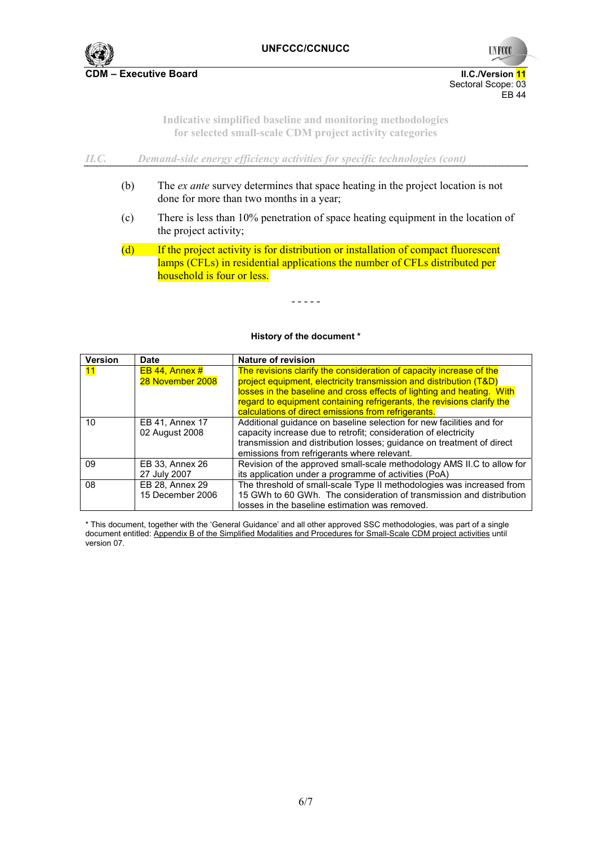

**UNFCC**  Sectoral Scope: 03 EB 44

> **Indicative simplified baseline and monitoring methodologies for selected small-scale CDM project activity categories**

*II.C. Demand-side energy efficiency activities for specific technologies (cont)*

- (b) The *ex ante* survey determines that space heating in the project location is not done for more than two months in a year;
- (c) There is less than 10% penetration of space heating equipment in the location of the project activity;
- (d) If the project activity is for distribution or installation of compact fluorescent lamps (CFLs) in residential applications the number of CFLs distributed per household is four or less.

- - - - -

#### **History of the document \***

| <b>Version</b> | Date                                     | Nature of revision                                                                                                                                                                                                                                                                                                                                   |
|----------------|------------------------------------------|------------------------------------------------------------------------------------------------------------------------------------------------------------------------------------------------------------------------------------------------------------------------------------------------------------------------------------------------------|
| 11             | $EB$ 44, Annex #<br>28 November 2008     | The revisions clarify the consideration of capacity increase of the<br>project equipment, electricity transmission and distribution (T&D)<br>losses in the baseline and cross effects of lighting and heating. With<br>regard to equipment containing refrigerants, the revisions clarify the<br>calculations of direct emissions from refrigerants. |
| 10             | <b>EB 41, Annex 17</b><br>02 August 2008 | Additional guidance on baseline selection for new facilities and for<br>capacity increase due to retrofit; consideration of electricity<br>transmission and distribution losses; guidance on treatment of direct<br>emissions from refrigerants where relevant.                                                                                      |
| 09             | EB 33, Annex 26<br>27 July 2007          | Revision of the approved small-scale methodology AMS II.C to allow for<br>its application under a programme of activities (PoA)                                                                                                                                                                                                                      |
| 08             | EB 28, Annex 29<br>15 December 2006      | The threshold of small-scale Type II methodologies was increased from<br>15 GWh to 60 GWh. The consideration of transmission and distribution<br>losses in the baseline estimation was removed.                                                                                                                                                      |

\* This document, together with the 'General Guidance' and all other approved SSC methodologies, was part of a single document entitled: Appendix B of the Simplified Modalities and Procedures for Small-Scale CDM project activities until version 07.